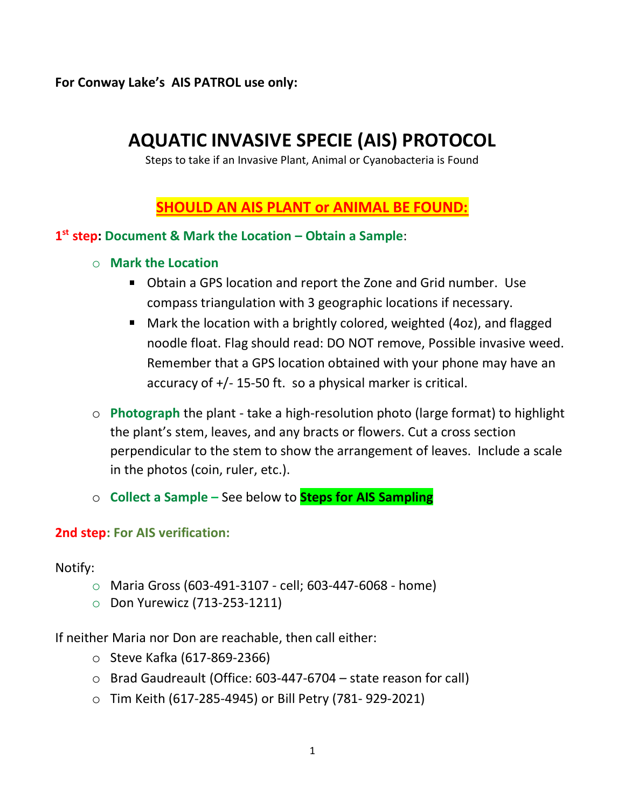**For Conway Lake's AIS PATROL use only:**

# **AQUATIC INVASIVE SPECIE (AIS) PROTOCOL**

Steps to take if an Invasive Plant, Animal or Cyanobacteria is Found

# **SHOULD AN AIS PLANT or ANIMAL BE FOUND:**

### **1 st step: Document & Mark the Location – Obtain a Sample**:

- o **Mark the Location**
	- Obtain a GPS location and report the Zone and Grid number. Use compass triangulation with 3 geographic locations if necessary.
	- Mark the location with a brightly colored, weighted (4oz), and flagged noodle float. Flag should read: DO NOT remove, Possible invasive weed. Remember that a GPS location obtained with your phone may have an accuracy of +/- 15-50 ft. so a physical marker is critical.
- o **Photograph** the plant take a high-resolution photo (large format) to highlight the plant's stem, leaves, and any bracts or flowers. Cut a cross section perpendicular to the stem to show the arrangement of leaves. Include a scale in the photos (coin, ruler, etc.).
- o **Collect a Sample –** See below to **Steps for AIS Sampling**

#### **2nd step: For AIS verification:**

Notify:

- o Maria Gross (603-491-3107 cell; 603-447-6068 home)
- o Don Yurewicz (713-253-1211)

If neither Maria nor Don are reachable, then call either:

- o Steve Kafka (617-869-2366)
- o Brad Gaudreault (Office: 603-447-6704 state reason for call)
- o Tim Keith (617-285-4945) or Bill Petry (781- 929-2021)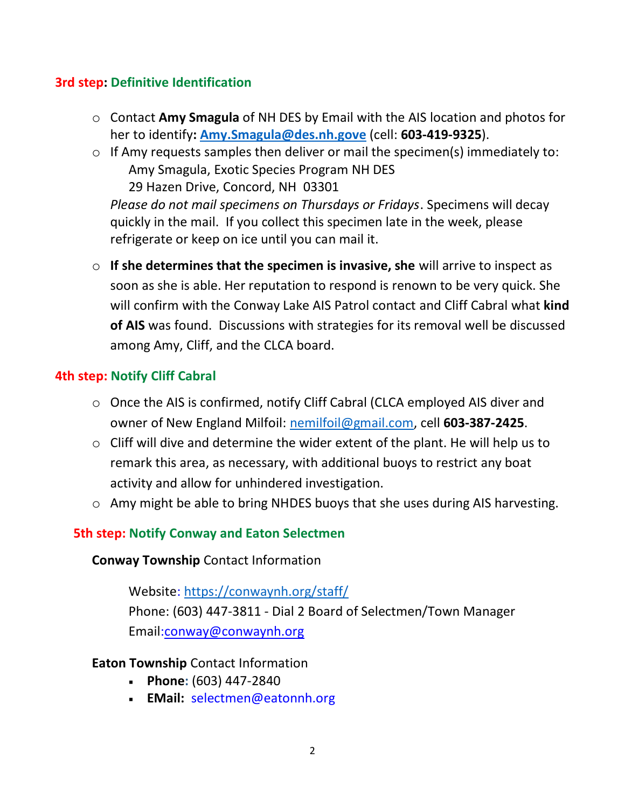### **3rd step: Definitive Identification**

- o Contact **Amy Smagula** of NH DES by Email with the AIS location and photos for her to identify**: [Amy.Smagula@des.nh.gove](mailto:Amy.Smagula@des.nh.gove)** (cell: **603-419-9325**).
- o If Amy requests samples then deliver or mail the specimen(s) immediately to: Amy Smagula, Exotic Species Program NH DES 29 Hazen Drive, Concord, NH 03301

*Please do not mail specimens on Thursdays or Fridays*. Specimens will decay quickly in the mail. If you collect this specimen late in the week, please refrigerate or keep on ice until you can mail it.

o **If she determines that the specimen is invasive, she** will arrive to inspect as soon as she is able. Her reputation to respond is renown to be very quick. She will confirm with the Conway Lake AIS Patrol contact and Cliff Cabral what **kind of AIS** was found. Discussions with strategies for its removal well be discussed among Amy, Cliff, and the CLCA board.

# **4th step: Notify Cliff Cabral**

- o Once the AIS is confirmed, notify Cliff Cabral (CLCA employed AIS diver and owner of New England Milfoil: [nemilfoil@gmail.com,](mailto:nemilfoil@gmail.com) cell **603-387-2425**.
- o Cliff will dive and determine the wider extent of the plant. He will help us to remark this area, as necessary, with additional buoys to restrict any boat activity and allow for unhindered investigation.
- o Amy might be able to bring NHDES buoys that she uses during AIS harvesting.

# **5th step: Notify Conway and Eaton Selectmen**

### **Conway Township** Contact Information

Website:<https://conwaynh.org/staff/> Phone: (603) 447-3811 - Dial 2 Board of Selectmen/Town Manager Email[:conway@conwaynh.org](mailto:conway@conwaynh.org)

### **Eaton Township** Contact Information

- **Phone:** (603) 447-2840
- **EMail:** [selectmen@eatonnh.org](mailto:selectmen@eatonnh.org)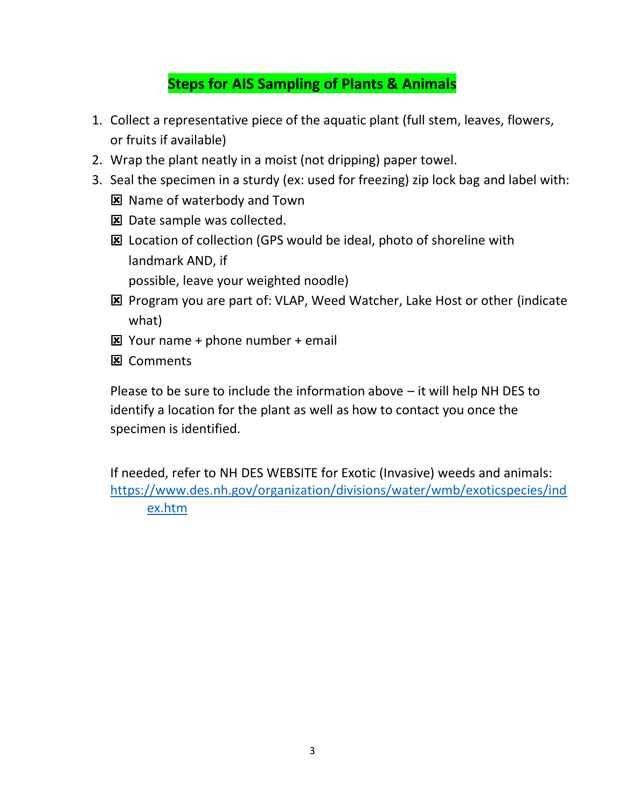# **Steps for AIS Sampling of Plants & Animals**

- 1. Collect a representative piece of the aquatic plant (full stem, leaves, flowers, or fruits if available)
- 2. Wrap the plant neatly in a moist (not dripping) paper towel.
- 3. Seal the specimen in a sturdy (ex: used for freezing) zip lock bag and label with:
	- **E** Name of waterbody and Town
	- **E** Date sample was collected.
	- **EX** Location of collection (GPS would be ideal, photo of shoreline with landmark AND, if

possible, leave your weighted noodle)

- **E** Program you are part of: VLAP, Weed Watcher, Lake Host or other (indicate what)
- $\boxtimes$  Your name + phone number + email
- **X** Comments

Please to be sure to include the information above – it will help NH DES to identify a location for the plant as well as how to contact you once the specimen is identified.

If needed, refer to NH DES WEBSITE for Exotic (Invasive) weeds and animals: [https://www.des.nh.gov/organization/divisions/water/wmb/exoticspecies/ind](https://www.des.nh.gov/organization/divisions/water/wmb/exoticspecies/index.htm) [ex.htm](https://www.des.nh.gov/organization/divisions/water/wmb/exoticspecies/index.htm)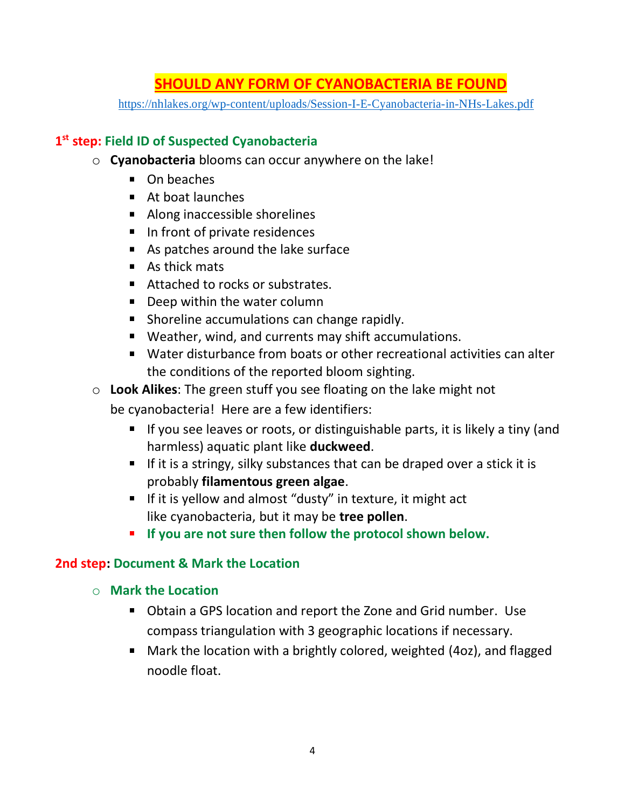# **SHOULD ANY FORM OF CYANOBACTERIA BE FOUND**

<https://nhlakes.org/wp-content/uploads/Session-I-E-Cyanobacteria-in-NHs-Lakes.pdf>

# **1 st step: Field ID of Suspected Cyanobacteria**

- o **Cyanobacteria** blooms can occur anywhere on the lake!
	- On beaches
	- At boat launches
	- Along inaccessible shorelines
	- In front of private residences
	- As patches around the lake surface
	- As thick mats
	- Attached to rocks or substrates.
	- **Deep within the water column**
	- **Shoreline accumulations can change rapidly.**
	- Weather, wind, and currents may shift accumulations.
	- Water disturbance from boats or other recreational activities can alter the conditions of the reported bloom sighting.
- o **Look Alikes**: The green stuff you see floating on the lake might not

be cyanobacteria! Here are a few identifiers:

- **If you see leaves or roots, or distinguishable parts, it is likely a tiny (and** harmless) aquatic plant like **duckweed**.
- If it is a stringy, silky substances that can be draped over a stick it is probably **filamentous green algae**.
- If it is yellow and almost "dusty" in texture, it might act like cyanobacteria, but it may be **tree pollen**.
- **If you are not sure then follow the protocol shown below.**

### **2nd step: Document & Mark the Location**

- o **Mark the Location**
	- Obtain a GPS location and report the Zone and Grid number. Use compass triangulation with 3 geographic locations if necessary.
	- Mark the location with a brightly colored, weighted (4oz), and flagged noodle float.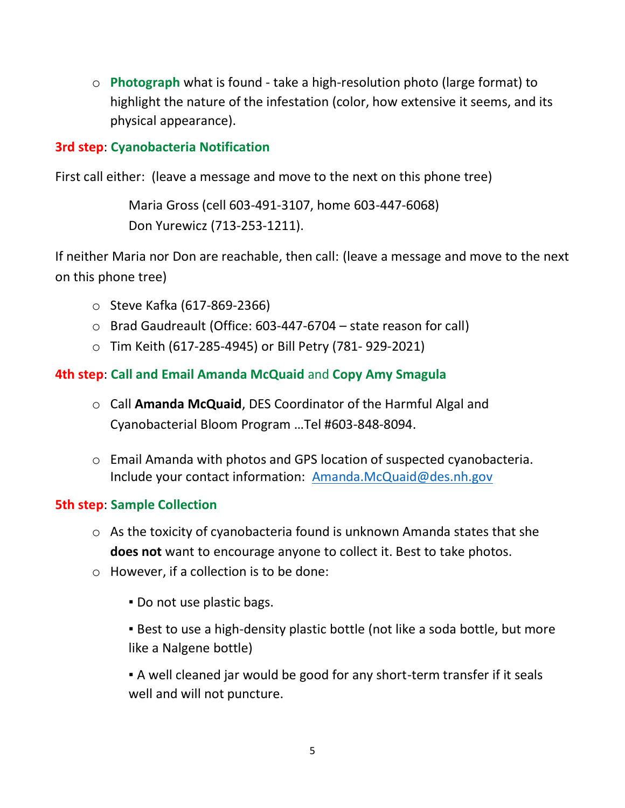o **Photograph** what is found - take a high-resolution photo (large format) to highlight the nature of the infestation (color, how extensive it seems, and its physical appearance).

### **3rd step**: **Cyanobacteria Notification**

First call either: (leave a message and move to the next on this phone tree)

Maria Gross (cell 603-491-3107, home 603-447-6068) Don Yurewicz (713-253-1211).

If neither Maria nor Don are reachable, then call: (leave a message and move to the next on this phone tree)

- o Steve Kafka (617-869-2366)
- o Brad Gaudreault (Office: 603-447-6704 state reason for call)
- o Tim Keith (617-285-4945) or Bill Petry (781- 929-2021)

# **4th step**: **Call and Email Amanda McQuaid** and **Copy Amy Smagula**

- o Call **Amanda McQuaid**, DES Coordinator of the Harmful Algal and Cyanobacterial Bloom Program …Tel #603-848-8094.
- o Email Amanda with photos and GPS location of suspected cyanobacteria. Include your contact information: [Amanda.McQuaid@des.nh.gov](mailto:Amanda.McQuaid@des.nh.gov)

### **5th step**: **Sample Collection**

- o As the toxicity of cyanobacteria found is unknown Amanda states that she **does not** want to encourage anyone to collect it. Best to take photos.
- o However, if a collection is to be done:
	- Do not use plastic bags.

**• Best to use a high-density plastic bottle (not like a soda bottle, but more** like a Nalgene bottle)

▪ A well cleaned jar would be good for any short-term transfer if it seals well and will not puncture.